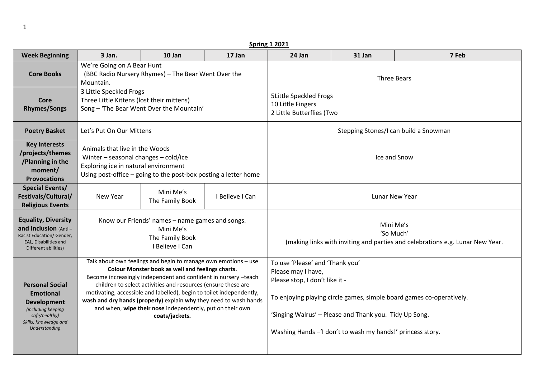| <b>Spring 1 2021</b>                                                                                                                       |                                                                                                                                                                                                                                                                                                                                                                                                                                                                                    |                                                                                                    |                 |                                                                                                                                                                                                                                                                                          |        |       |  |  |
|--------------------------------------------------------------------------------------------------------------------------------------------|------------------------------------------------------------------------------------------------------------------------------------------------------------------------------------------------------------------------------------------------------------------------------------------------------------------------------------------------------------------------------------------------------------------------------------------------------------------------------------|----------------------------------------------------------------------------------------------------|-----------------|------------------------------------------------------------------------------------------------------------------------------------------------------------------------------------------------------------------------------------------------------------------------------------------|--------|-------|--|--|
| <b>Week Beginning</b>                                                                                                                      | 3 Jan.                                                                                                                                                                                                                                                                                                                                                                                                                                                                             | 10 Jan                                                                                             | 17 Jan          | 24 Jan                                                                                                                                                                                                                                                                                   | 31 Jan | 7 Feb |  |  |
| <b>Core Books</b>                                                                                                                          | We're Going on A Bear Hunt<br>Mountain.                                                                                                                                                                                                                                                                                                                                                                                                                                            | (BBC Radio Nursery Rhymes) - The Bear Went Over the                                                |                 | <b>Three Bears</b>                                                                                                                                                                                                                                                                       |        |       |  |  |
| Core<br><b>Rhymes/Songs</b>                                                                                                                | 3 Little Speckled Frogs<br>Three Little Kittens (lost their mittens)                                                                                                                                                                                                                                                                                                                                                                                                               | Song - 'The Bear Went Over the Mountain'                                                           |                 | <b>5Little Speckled Frogs</b><br>10 Little Fingers<br>2 Little Butterflies (Two                                                                                                                                                                                                          |        |       |  |  |
| <b>Poetry Basket</b>                                                                                                                       | Let's Put On Our Mittens                                                                                                                                                                                                                                                                                                                                                                                                                                                           |                                                                                                    |                 | Stepping Stones/I can build a Snowman                                                                                                                                                                                                                                                    |        |       |  |  |
| <b>Key interests</b><br>/projects/themes<br>/Planning in the<br>moment/<br><b>Provocations</b>                                             | Animals that live in the Woods<br>Winter - seasonal changes - cold/ice<br>Exploring ice in natural environment                                                                                                                                                                                                                                                                                                                                                                     | Using post-office – going to the post-box posting a letter home                                    |                 | Ice and Snow                                                                                                                                                                                                                                                                             |        |       |  |  |
| <b>Special Events/</b><br>Festivals/Cultural/<br><b>Religious Events</b>                                                                   | New Year                                                                                                                                                                                                                                                                                                                                                                                                                                                                           | Mini Me's<br>The Family Book                                                                       | I Believe I Can | <b>Lunar New Year</b>                                                                                                                                                                                                                                                                    |        |       |  |  |
| <b>Equality, Diversity</b><br>and Inclusion (Anti-<br>Racist Education/ Gender,<br>EAL, Disabilities and<br>Different abilities)           |                                                                                                                                                                                                                                                                                                                                                                                                                                                                                    | Know our Friends' names - name games and songs.<br>Mini Me's<br>The Family Book<br>I Believe I Can |                 | Mini Me's<br>'So Much'<br>(making links with inviting and parties and celebrations e.g. Lunar New Year.                                                                                                                                                                                  |        |       |  |  |
| <b>Personal Social</b><br><b>Emotional</b><br>Development<br>(including keeping<br>safe/healthy)<br>Skills, Knowledge and<br>Understanding | Talk about own feelings and begin to manage own emotions - use<br>Colour Monster book as well and feelings charts.<br>Become increasingly independent and confident in nursery -teach<br>children to select activities and resources (ensure these are<br>motivating, accessible and labelled), begin to toilet independently,<br>wash and dry hands (properly) explain why they need to wash hands<br>and when, wipe their nose independently, put on their own<br>coats/jackets. |                                                                                                    |                 | To use 'Please' and 'Thank you'<br>Please may I have,<br>Please stop, I don't like it -<br>To enjoying playing circle games, simple board games co-operatively.<br>'Singing Walrus' - Please and Thank you. Tidy Up Song.<br>Washing Hands - 'I don't to wash my hands!' princess story. |        |       |  |  |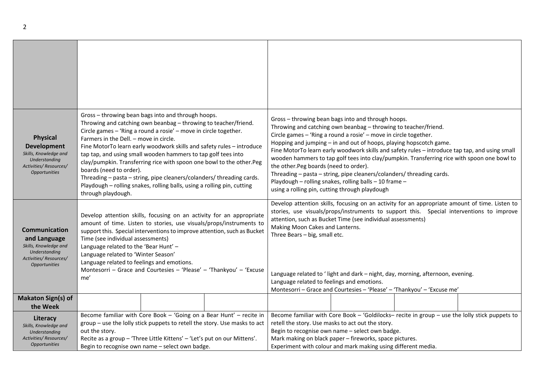| <b>Physical</b><br><b>Development</b><br>Skills, Knowledge and<br>Understanding<br>Activities/Resources/<br><b>Opportunities</b>       | Gross - throwing bean bags into and through hoops.<br>Throwing and catching own beanbag - throwing to teacher/friend.<br>Circle games - 'Ring a round a rosie' - move in circle together.<br>Farmers in the Dell. - move in circle.<br>Fine MotorTo learn early woodwork skills and safety rules - introduce<br>tap tap, and using small wooden hammers to tap golf tees into<br>clay/pumpkin. Transferring rice with spoon one bowl to the other.Peg<br>boards (need to order).<br>Threading - pasta - string, pipe cleaners/colanders/ threading cards.<br>Playdough - rolling snakes, rolling balls, using a rolling pin, cutting<br>through playdough. |  |  | Gross - throwing bean bags into and through hoops.<br>Throwing and catching own beanbag - throwing to teacher/friend.<br>Circle games - 'Ring a round a rosie' - move in circle together.<br>Hopping and jumping - in and out of hoops, playing hopscotch game.<br>Fine MotorTo learn early woodwork skills and safety rules - introduce tap tap, and using small<br>wooden hammers to tap golf tees into clay/pumpkin. Transferring rice with spoon one bowl to<br>the other. Peg boards (need to order).<br>Threading – pasta – string, pipe cleaners/colanders/ threading cards.<br>Playdough - rolling snakes, rolling balls - 10 frame -<br>using a rolling pin, cutting through playdough |  |  |  |  |
|----------------------------------------------------------------------------------------------------------------------------------------|------------------------------------------------------------------------------------------------------------------------------------------------------------------------------------------------------------------------------------------------------------------------------------------------------------------------------------------------------------------------------------------------------------------------------------------------------------------------------------------------------------------------------------------------------------------------------------------------------------------------------------------------------------|--|--|-------------------------------------------------------------------------------------------------------------------------------------------------------------------------------------------------------------------------------------------------------------------------------------------------------------------------------------------------------------------------------------------------------------------------------------------------------------------------------------------------------------------------------------------------------------------------------------------------------------------------------------------------------------------------------------------------|--|--|--|--|
| <b>Communication</b><br>and Language<br>Skills, Knowledge and<br><b>Understanding</b><br>Activities/Resources/<br><b>Opportunities</b> | Develop attention skills, focusing on an activity for an appropriate<br>amount of time. Listen to stories, use visuals/props/instruments to<br>support this. Special interventions to improve attention, such as Bucket<br>Time (see individual assessments)<br>Language related to the 'Bear Hunt' -<br>Language related to 'Winter Season'<br>Language related to feelings and emotions.<br>Montesorri - Grace and Courtesies - 'Please' - 'Thankyou' - 'Excuse<br>me'                                                                                                                                                                                   |  |  | Develop attention skills, focusing on an activity for an appropriate amount of time. Listen to<br>stories, use visuals/props/instruments to support this. Special interventions to improve<br>attention, such as Bucket Time (see individual assessments)<br>Making Moon Cakes and Lanterns.<br>Three Bears - big, small etc.<br>Language related to 'light and dark - night, day, morning, afternoon, evening.<br>Language related to feelings and emotions.<br>Montesorri - Grace and Courtesies - 'Please' - 'Thankyou' - 'Excuse me'                                                                                                                                                        |  |  |  |  |
| <b>Makaton Sign(s) of</b><br>the Week                                                                                                  |                                                                                                                                                                                                                                                                                                                                                                                                                                                                                                                                                                                                                                                            |  |  |                                                                                                                                                                                                                                                                                                                                                                                                                                                                                                                                                                                                                                                                                                 |  |  |  |  |
| Literacy<br>Skills, Knowledge and<br><b>Understanding</b><br>Activities/Resources/<br>Opportunities                                    | Become familiar with Core Book - 'Going on a Bear Hunt' - recite in<br>group - use the lolly stick puppets to retell the story. Use masks to act<br>out the story.<br>Recite as a group - 'Three Little Kittens' - 'Let's put on our Mittens'.<br>Begin to recognise own name - select own badge.                                                                                                                                                                                                                                                                                                                                                          |  |  | Become familiar with Core Book - 'Goldilocks- recite in group - use the lolly stick puppets to<br>retell the story. Use masks to act out the story.<br>Begin to recognise own name - select own badge.<br>Mark making on black paper - fireworks, space pictures.<br>Experiment with colour and mark making using different media.                                                                                                                                                                                                                                                                                                                                                              |  |  |  |  |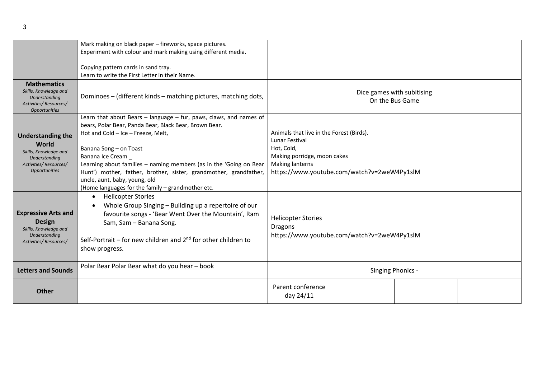|                                                                                                                              | Mark making on black paper - fireworks, space pictures.<br>Experiment with colour and mark making using different media.                                                                                                                                                                                                                                                                                                                          |                                                                                                                                                                           |  |  |  |  |
|------------------------------------------------------------------------------------------------------------------------------|---------------------------------------------------------------------------------------------------------------------------------------------------------------------------------------------------------------------------------------------------------------------------------------------------------------------------------------------------------------------------------------------------------------------------------------------------|---------------------------------------------------------------------------------------------------------------------------------------------------------------------------|--|--|--|--|
|                                                                                                                              | Copying pattern cards in sand tray.<br>Learn to write the First Letter in their Name.                                                                                                                                                                                                                                                                                                                                                             |                                                                                                                                                                           |  |  |  |  |
| <b>Mathematics</b><br>Skills, Knowledge and<br>Understanding<br>Activities/Resources/<br><b>Opportunities</b>                | Dominoes - (different kinds - matching pictures, matching dots,                                                                                                                                                                                                                                                                                                                                                                                   | Dice games with subitising<br>On the Bus Game                                                                                                                             |  |  |  |  |
| <b>Understanding the</b><br>World<br>Skills, Knowledge and<br>Understanding<br>Activities/Resources/<br><b>Opportunities</b> | Learn that about Bears - language - fur, paws, claws, and names of<br>bears, Polar Bear, Panda Bear, Black Bear, Brown Bear.<br>Hot and Cold - Ice - Freeze, Melt,<br>Banana Song - on Toast<br>Banana Ice Cream<br>Learning about families - naming members (as in the 'Going on Bear<br>Hunt') mother, father, brother, sister, grandmother, grandfather,<br>uncle, aunt, baby, young, old<br>(Home languages for the family - grandmother etc. | Animals that live in the Forest (Birds).<br>Lunar Festival<br>Hot, Cold,<br>Making porridge, moon cakes<br>Making lanterns<br>https://www.youtube.com/watch?v=2weW4Py1slM |  |  |  |  |
| <b>Expressive Arts and</b><br><b>Design</b><br>Skills, Knowledge and<br>Understanding<br>Activities/Resources/               | <b>Helicopter Stories</b><br>$\bullet$<br>Whole Group Singing - Building up a repertoire of our<br>favourite songs - 'Bear Went Over the Mountain', Ram<br>Sam, Sam - Banana Song.<br>Self-Portrait – for new children and $2^{nd}$ for other children to<br>show progress.                                                                                                                                                                       | <b>Helicopter Stories</b><br><b>Dragons</b><br>https://www.youtube.com/watch?v=2weW4Py1slM                                                                                |  |  |  |  |
| <b>Letters and Sounds</b>                                                                                                    | Polar Bear Polar Bear what do you hear - book                                                                                                                                                                                                                                                                                                                                                                                                     | Singing Phonics -                                                                                                                                                         |  |  |  |  |
| <b>Other</b>                                                                                                                 |                                                                                                                                                                                                                                                                                                                                                                                                                                                   | Parent conference<br>day 24/11                                                                                                                                            |  |  |  |  |